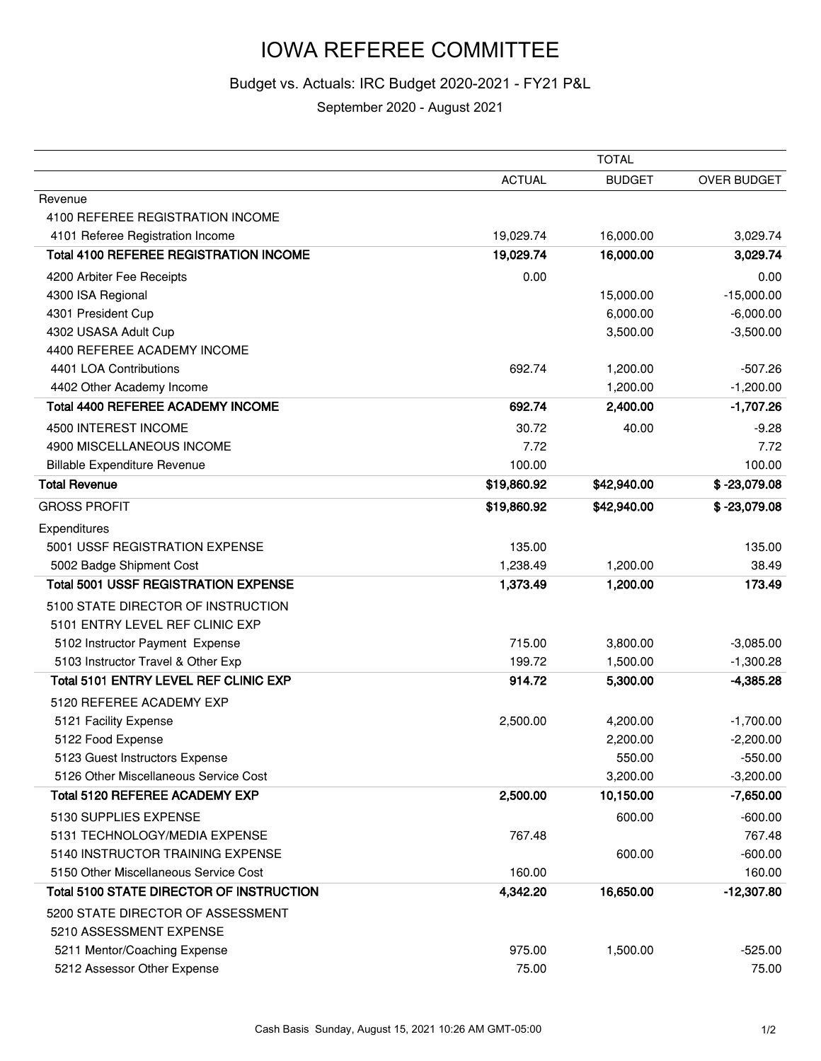## IOWA REFEREE COMMITTEE

## Budget vs. Actuals: IRC Budget 2020-2021 - FY21 P&L

September 2020 - August 2021

|                                               |               | <b>TOTAL</b>  |                |
|-----------------------------------------------|---------------|---------------|----------------|
|                                               | <b>ACTUAL</b> | <b>BUDGET</b> | OVER BUDGET    |
| Revenue                                       |               |               |                |
| 4100 REFEREE REGISTRATION INCOME              |               |               |                |
| 4101 Referee Registration Income              | 19,029.74     | 16,000.00     | 3,029.74       |
| <b>Total 4100 REFEREE REGISTRATION INCOME</b> | 19,029.74     | 16,000.00     | 3,029.74       |
| 4200 Arbiter Fee Receipts                     | 0.00          |               | 0.00           |
| 4300 ISA Regional                             |               | 15,000.00     | $-15,000.00$   |
| 4301 President Cup                            |               | 6,000.00      | $-6,000.00$    |
| 4302 USASA Adult Cup                          |               | 3,500.00      | $-3,500.00$    |
| 4400 REFEREE ACADEMY INCOME                   |               |               |                |
| 4401 LOA Contributions                        | 692.74        | 1,200.00      | $-507.26$      |
| 4402 Other Academy Income                     |               | 1,200.00      | $-1,200.00$    |
| <b>Total 4400 REFEREE ACADEMY INCOME</b>      | 692.74        | 2,400.00      | $-1,707.26$    |
| 4500 INTEREST INCOME                          | 30.72         | 40.00         | $-9.28$        |
| 4900 MISCELLANEOUS INCOME                     | 7.72          |               | 7.72           |
| <b>Billable Expenditure Revenue</b>           | 100.00        |               | 100.00         |
| <b>Total Revenue</b>                          | \$19,860.92   | \$42,940.00   | $$ -23,079.08$ |
| <b>GROSS PROFIT</b>                           | \$19,860.92   | \$42,940.00   | $$ -23,079.08$ |
| Expenditures                                  |               |               |                |
| 5001 USSF REGISTRATION EXPENSE                | 135.00        |               | 135.00         |
| 5002 Badge Shipment Cost                      | 1,238.49      | 1,200.00      | 38.49          |
| <b>Total 5001 USSF REGISTRATION EXPENSE</b>   | 1,373.49      | 1,200.00      | 173.49         |
| 5100 STATE DIRECTOR OF INSTRUCTION            |               |               |                |
| 5101 ENTRY LEVEL REF CLINIC EXP               |               |               |                |
| 5102 Instructor Payment Expense               | 715.00        | 3,800.00      | $-3,085.00$    |
| 5103 Instructor Travel & Other Exp            | 199.72        | 1,500.00      | $-1,300.28$    |
| <b>Total 5101 ENTRY LEVEL REF CLINIC EXP</b>  | 914.72        | 5,300.00      | $-4,385.28$    |
| 5120 REFEREE ACADEMY EXP                      |               |               |                |
| 5121 Facility Expense                         | 2,500.00      | 4,200.00      | $-1,700.00$    |
| 5122 Food Expense                             |               | 2,200.00      | $-2,200.00$    |
| 5123 Guest Instructors Expense                |               | 550.00        | $-550.00$      |
| 5126 Other Miscellaneous Service Cost         |               | 3,200.00      | $-3,200.00$    |
| Total 5120 REFEREE ACADEMY EXP                | 2,500.00      | 10,150.00     | $-7,650.00$    |
| 5130 SUPPLIES EXPENSE                         |               | 600.00        | $-600.00$      |
| 5131 TECHNOLOGY/MEDIA EXPENSE                 | 767.48        |               | 767.48         |
| 5140 INSTRUCTOR TRAINING EXPENSE              |               | 600.00        | $-600.00$      |
| 5150 Other Miscellaneous Service Cost         | 160.00        |               | 160.00         |
| Total 5100 STATE DIRECTOR OF INSTRUCTION      | 4,342.20      | 16,650.00     | $-12,307.80$   |
| 5200 STATE DIRECTOR OF ASSESSMENT             |               |               |                |
| 5210 ASSESSMENT EXPENSE                       |               |               |                |
| 5211 Mentor/Coaching Expense                  | 975.00        | 1,500.00      | $-525.00$      |
| 5212 Assessor Other Expense                   | 75.00         |               | 75.00          |